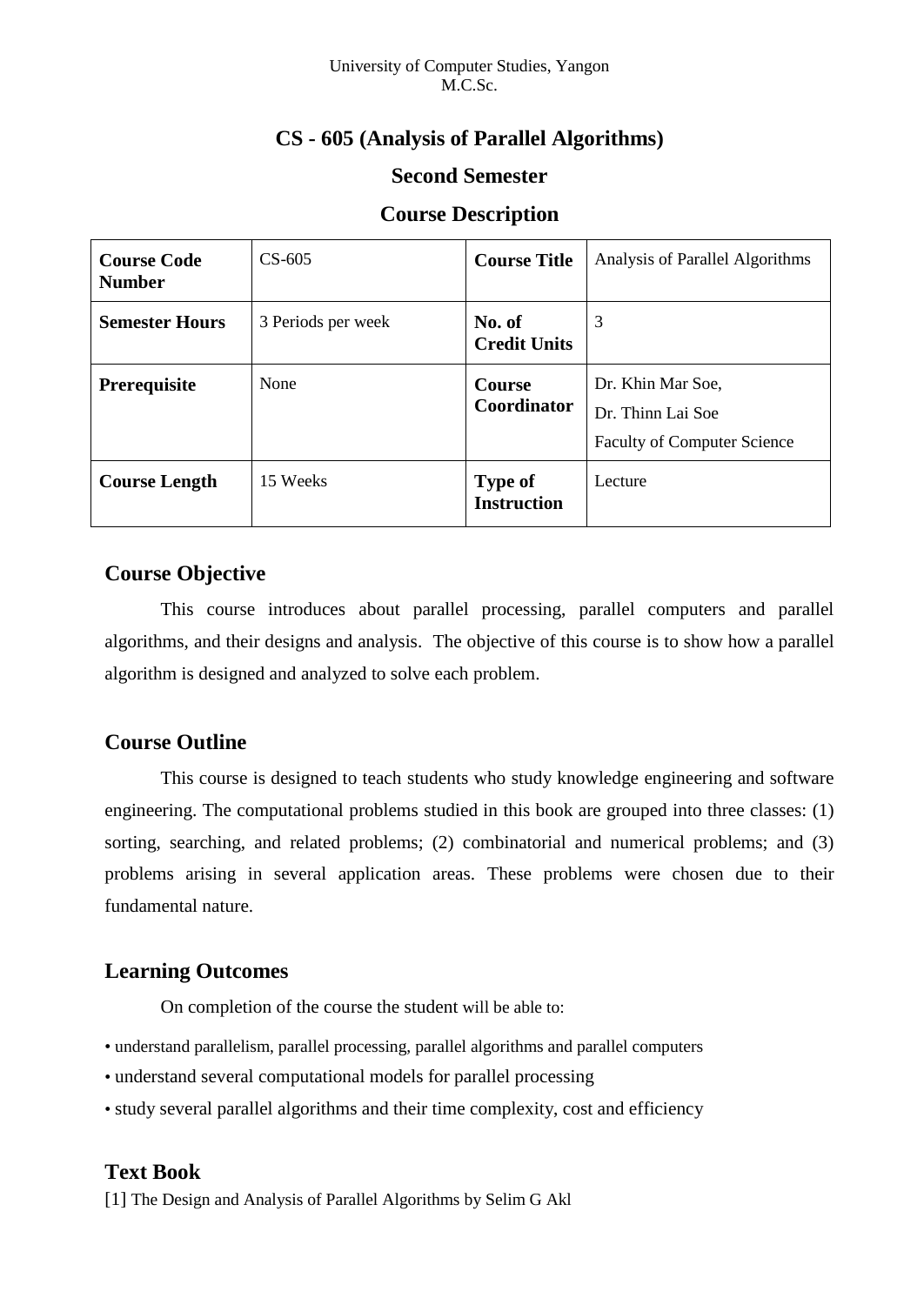# **CS - 605 (Analysis of Parallel Algorithms)**

### **Second Semester**

### **Course Description**

| <b>Course Code</b><br><b>Number</b> | $CS-605$           | <b>Course Title</b>                  | Analysis of Parallel Algorithms                                              |  |
|-------------------------------------|--------------------|--------------------------------------|------------------------------------------------------------------------------|--|
| <b>Semester Hours</b>               | 3 Periods per week | No. of<br><b>Credit Units</b>        | 3                                                                            |  |
| <b>Prerequisite</b>                 | None               | Course<br><b>Coordinator</b>         | Dr. Khin Mar Soe,<br>Dr. Thinn Lai Soe<br><b>Faculty of Computer Science</b> |  |
| <b>Course Length</b>                | 15 Weeks           | <b>Type of</b><br><b>Instruction</b> | Lecture                                                                      |  |

## **Course Objective**

This course introduces about parallel processing, parallel computers and parallel algorithms, and their designs and analysis. The objective of this course is to show how a parallel algorithm is designed and analyzed to solve each problem.

## **Course Outline**

This course is designed to teach students who study knowledge engineering and software engineering. The computational problems studied in this book are grouped into three classes: (1) sorting, searching, and related problems; (2) combinatorial and numerical problems; and (3) problems arising in several application areas. These problems were chosen due to their fundamental nature.

# **Learning Outcomes**

On completion of the course the student will be able to:

- understand parallelism, parallel processing, parallel algorithms and parallel computers
- understand several computational models for parallel processing
- study several parallel algorithms and their time complexity, cost and efficiency

# **Text Book**

[1] The Design and Analysis of Parallel Algorithms by Selim G Akl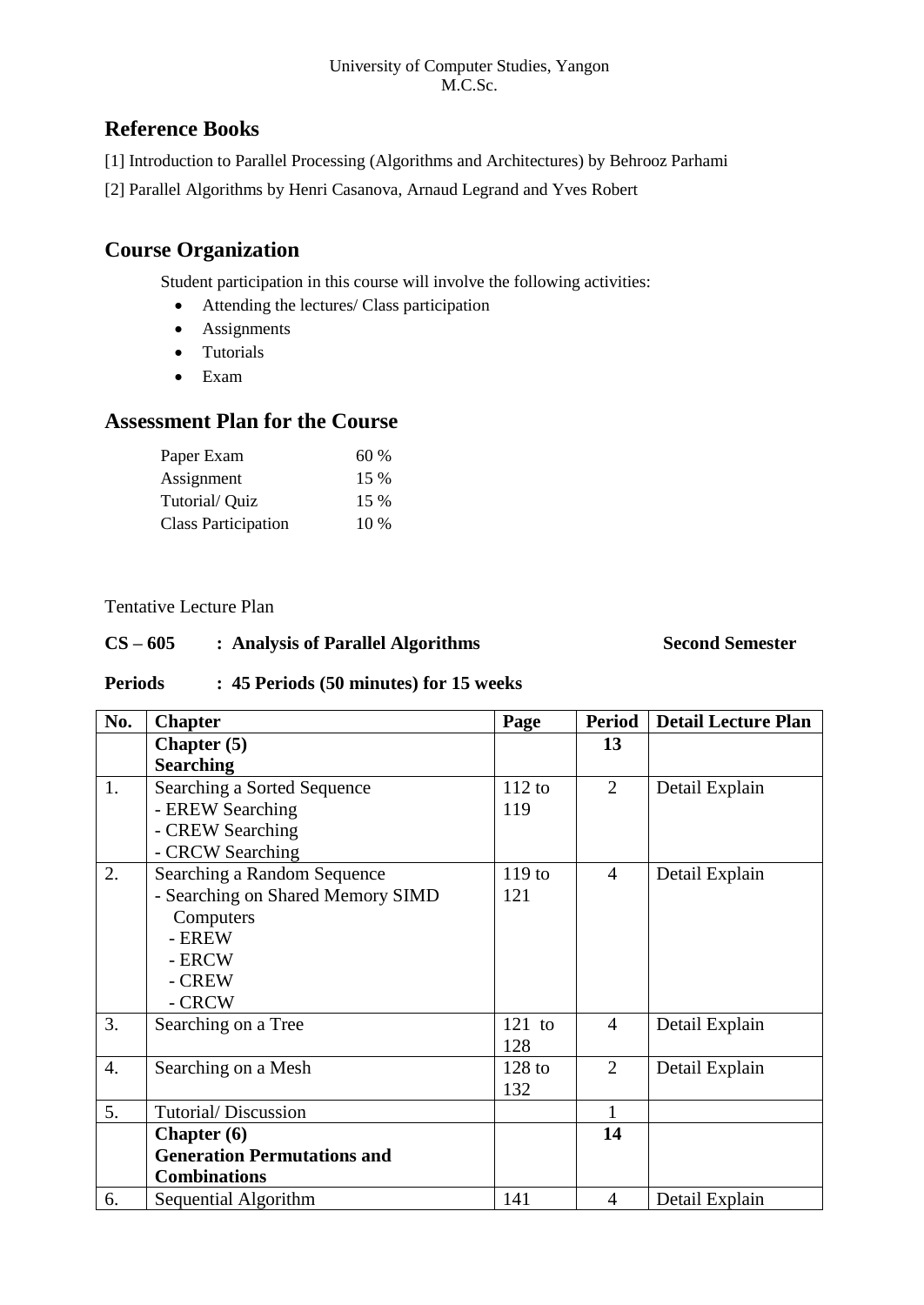#### University of Computer Studies, Yangon M.C.Sc.

## **Reference Books**

- [1] Introduction to Parallel Processing (Algorithms and Architectures) by Behrooz Parhami
- [2] Parallel Algorithms by Henri Casanova, Arnaud Legrand and Yves Robert

# **Course Organization**

Student participation in this course will involve the following activities:

- Attending the lectures/ Class participation
- Assignments
- Tutorials
- Exam

## **Assessment Plan for the Course**

| Paper Exam                 | 60%    |
|----------------------------|--------|
| Assignment                 | 15 %   |
| Tutorial/ Quiz             | 15 %   |
| <b>Class Participation</b> | $10\%$ |

### Tentative Lecture Plan

### **CS – 605 : Analysis of Parallel Algorithms Second Semester**

### **Periods : 45 Periods (50 minutes) for 15 weeks**

| No. | <b>Chapter</b>                     | Page              | Period         | <b>Detail Lecture Plan</b> |
|-----|------------------------------------|-------------------|----------------|----------------------------|
|     | Chapter $(5)$                      |                   | 13             |                            |
|     | <b>Searching</b>                   |                   |                |                            |
| 1.  | Searching a Sorted Sequence        | 112 to            | $\overline{2}$ | Detail Explain             |
|     | - EREW Searching                   | 119               |                |                            |
|     | - CREW Searching                   |                   |                |                            |
|     | - CRCW Searching                   |                   |                |                            |
| 2.  | Searching a Random Sequence        | 119 <sub>to</sub> | $\overline{4}$ | Detail Explain             |
|     | - Searching on Shared Memory SIMD  | 121               |                |                            |
|     | Computers                          |                   |                |                            |
|     | - EREW                             |                   |                |                            |
|     | - ERCW                             |                   |                |                            |
|     | - CREW                             |                   |                |                            |
|     | - CRCW                             |                   |                |                            |
| 3.  | Searching on a Tree                | $121$ to          | $\overline{4}$ | Detail Explain             |
|     |                                    | 128               |                |                            |
| 4.  | Searching on a Mesh                | $128$ to          | $\overline{2}$ | Detail Explain             |
|     |                                    | 132               |                |                            |
| 5.  | Tutorial/Discussion                |                   |                |                            |
|     | Chapter $(6)$                      |                   | 14             |                            |
|     | <b>Generation Permutations and</b> |                   |                |                            |
|     | <b>Combinations</b>                |                   |                |                            |
| 6.  | Sequential Algorithm               | 141               | 4              | Detail Explain             |